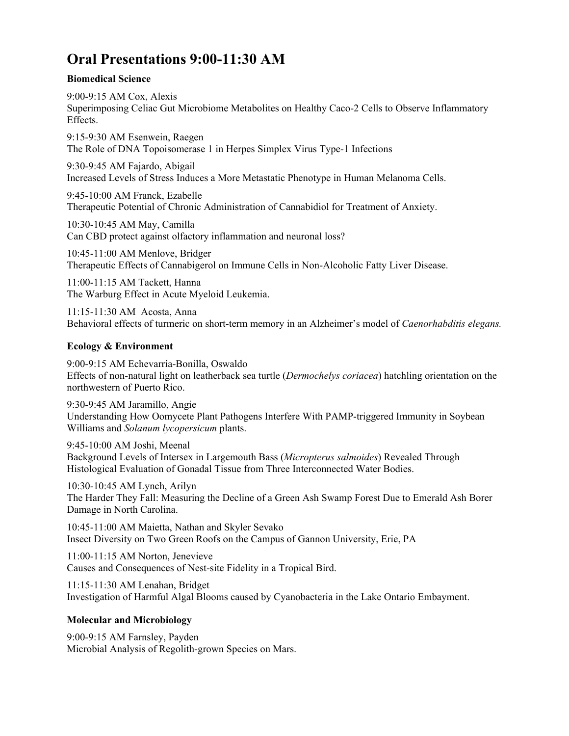# **Oral Presentations 9:00-11:30 AM**

### **Biomedical Science**

9:00-9:15 AM Cox, Alexis Superimposing Celiac Gut Microbiome Metabolites on Healthy Caco-2 Cells to Observe Inflammatory Effects.

9:15-9:30 AM Esenwein, Raegen The Role of DNA Topoisomerase 1 in Herpes Simplex Virus Type-1 Infections

9:30-9:45 AM Fajardo, Abigail Increased Levels of Stress Induces a More Metastatic Phenotype in Human Melanoma Cells.

9:45-10:00 AM Franck, Ezabelle Therapeutic Potential of Chronic Administration of Cannabidiol for Treatment of Anxiety.

10:30-10:45 AM May, Camilla Can CBD protect against olfactory inflammation and neuronal loss?

10:45-11:00 AM Menlove, Bridger Therapeutic Effects of Cannabigerol on Immune Cells in Non-Alcoholic Fatty Liver Disease.

11:00-11:15 AM Tackett, Hanna The Warburg Effect in Acute Myeloid Leukemia.

11:15-11:30 AM Acosta, Anna Behavioral effects of turmeric on short-term memory in an Alzheimer's model of *Caenorhabditis elegans.*

### **Ecology & Environment**

9:00-9:15 AM Echevarría-Bonilla, Oswaldo Effects of non-natural light on leatherback sea turtle (*Dermochelys coriacea*) hatchling orientation on the northwestern of Puerto Rico.

9:30-9:45 AM Jaramillo, Angie Understanding How Oomycete Plant Pathogens Interfere With PAMP-triggered Immunity in Soybean Williams and *Solanum lycopersicum* plants.

9:45-10:00 AM Joshi, Meenal Background Levels of Intersex in Largemouth Bass (*Micropterus salmoides*) Revealed Through Histological Evaluation of Gonadal Tissue from Three Interconnected Water Bodies.

10:30-10:45 AM Lynch, Arilyn The Harder They Fall: Measuring the Decline of a Green Ash Swamp Forest Due to Emerald Ash Borer Damage in North Carolina.

10:45-11:00 AM Maietta, Nathan and Skyler Sevako Insect Diversity on Two Green Roofs on the Campus of Gannon University, Erie, PA

11:00-11:15 AM Norton, Jenevieve Causes and Consequences of Nest-site Fidelity in a Tropical Bird.

11:15-11:30 AM Lenahan, Bridget Investigation of Harmful Algal Blooms caused by Cyanobacteria in the Lake Ontario Embayment.

### **Molecular and Microbiology**

9:00-9:15 AM Farnsley, Payden Microbial Analysis of Regolith-grown Species on Mars.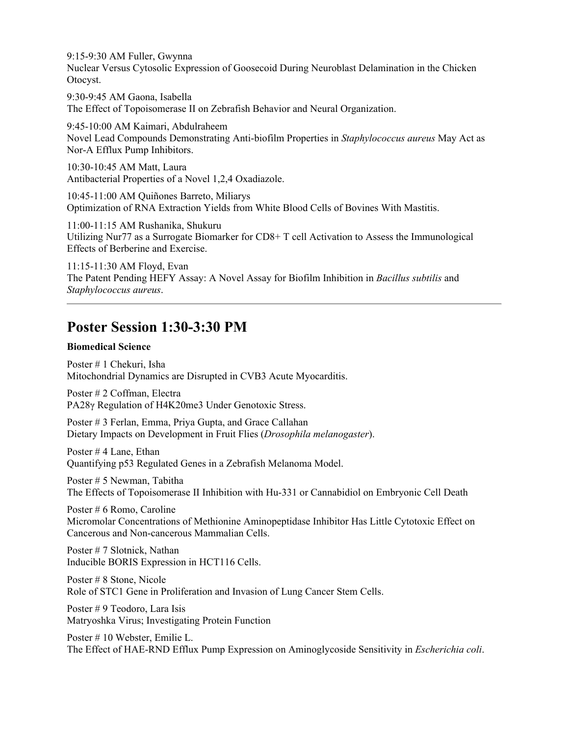9:15-9:30 AM Fuller, Gwynna Nuclear Versus Cytosolic Expression of Goosecoid During Neuroblast Delamination in the Chicken Otocyst.

9:30-9:45 AM Gaona, Isabella The Effect of Topoisomerase II on Zebrafish Behavior and Neural Organization.

9:45-10:00 AM Kaimari, Abdulraheem Novel Lead Compounds Demonstrating Anti-biofilm Properties in *Staphylococcus aureus* May Act as Nor-A Efflux Pump Inhibitors.

10:30-10:45 AM Matt, Laura Antibacterial Properties of a Novel 1,2,4 Oxadiazole.

10:45-11:00 AM Quiñones Barreto, Miliarys Optimization of RNA Extraction Yields from White Blood Cells of Bovines With Mastitis.

11:00-11:15 AM Rushanika, Shukuru Utilizing Nur77 as a Surrogate Biomarker for CD8+ T cell Activation to Assess the Immunological Effects of Berberine and Exercise.

11:15-11:30 AM Floyd, Evan The Patent Pending HEFY Assay: A Novel Assay for Biofilm Inhibition in *Bacillus subtilis* and *Staphylococcus aureus*.

## **Poster Session 1:30-3:30 PM**

### **Biomedical Science**

Poster # 1 Chekuri, Isha Mitochondrial Dynamics are Disrupted in CVB3 Acute Myocarditis.

Poster # 2 Coffman, Electra PA28γ Regulation of H4K20me3 Under Genotoxic Stress.

Poster # 3 Ferlan, Emma, Priya Gupta, and Grace Callahan Dietary Impacts on Development in Fruit Flies (*Drosophila melanogaster*).

Poster # 4 Lane, Ethan Quantifying p53 Regulated Genes in a Zebrafish Melanoma Model.

Poster # 5 Newman, Tabitha The Effects of Topoisomerase II Inhibition with Hu-331 or Cannabidiol on Embryonic Cell Death

Poster # 6 Romo, Caroline Micromolar Concentrations of Methionine Aminopeptidase Inhibitor Has Little Cytotoxic Effect on Cancerous and Non-cancerous Mammalian Cells.

Poster # 7 Slotnick, Nathan Inducible BORIS Expression in HCT116 Cells.

Poster # 8 Stone, Nicole Role of STC1 Gene in Proliferation and Invasion of Lung Cancer Stem Cells.

Poster # 9 Teodoro, Lara Isis Matryoshka Virus; Investigating Protein Function

Poster # 10 Webster, Emilie L. The Effect of HAE-RND Efflux Pump Expression on Aminoglycoside Sensitivity in *Escherichia coli*.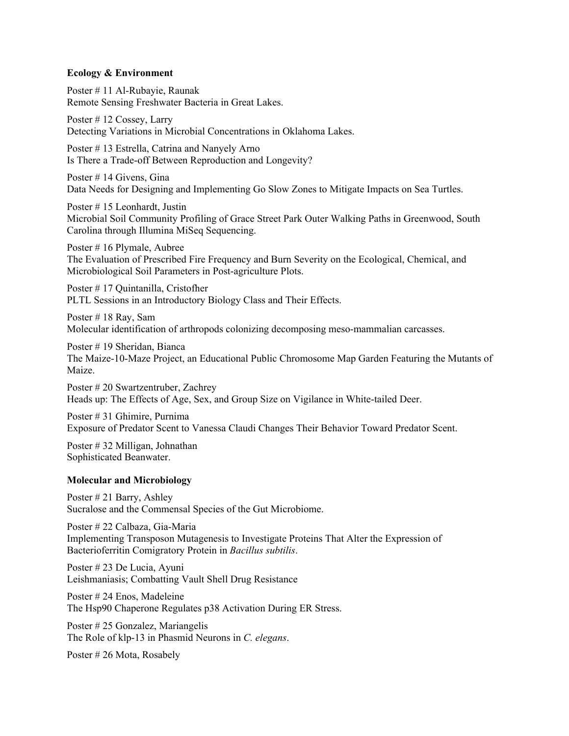#### **Ecology & Environment**

Poster # 11 Al-Rubayie, Raunak Remote Sensing Freshwater Bacteria in Great Lakes.

Poster # 12 Cossey, Larry Detecting Variations in Microbial Concentrations in Oklahoma Lakes.

Poster # 13 Estrella, Catrina and Nanyely Arno Is There a Trade-off Between Reproduction and Longevity?

Poster # 14 Givens, Gina Data Needs for Designing and Implementing Go Slow Zones to Mitigate Impacts on Sea Turtles.

Poster # 15 Leonhardt, Justin Microbial Soil Community Profiling of Grace Street Park Outer Walking Paths in Greenwood, South Carolina through Illumina MiSeq Sequencing.

Poster # 16 Plymale, Aubree The Evaluation of Prescribed Fire Frequency and Burn Severity on the Ecological, Chemical, and Microbiological Soil Parameters in Post-agriculture Plots.

Poster # 17 Quintanilla, Cristofher PLTL Sessions in an Introductory Biology Class and Their Effects.

Poster # 18 Ray, Sam Molecular identification of arthropods colonizing decomposing meso-mammalian carcasses.

Poster # 19 Sheridan, Bianca The Maize-10-Maze Project, an Educational Public Chromosome Map Garden Featuring the Mutants of Maize.

Poster # 20 Swartzentruber, Zachrey Heads up: The Effects of Age, Sex, and Group Size on Vigilance in White-tailed Deer.

Poster # 31 Ghimire, Purnima Exposure of Predator Scent to Vanessa Claudi Changes Their Behavior Toward Predator Scent.

Poster # 32 Milligan, Johnathan Sophisticated Beanwater.

### **Molecular and Microbiology**

Poster # 21 Barry, Ashley Sucralose and the Commensal Species of the Gut Microbiome.

Poster # 22 Calbaza, Gia-Maria Implementing Transposon Mutagenesis to Investigate Proteins That Alter the Expression of Bacterioferritin Comigratory Protein in *Bacillus subtilis*.

Poster # 23 De Lucia, Ayuni Leishmaniasis; Combatting Vault Shell Drug Resistance

Poster # 24 Enos, Madeleine The Hsp90 Chaperone Regulates p38 Activation During ER Stress.

Poster # 25 Gonzalez, Mariangelis The Role of klp-13 in Phasmid Neurons in *C. elegans*.

Poster # 26 Mota, Rosabely